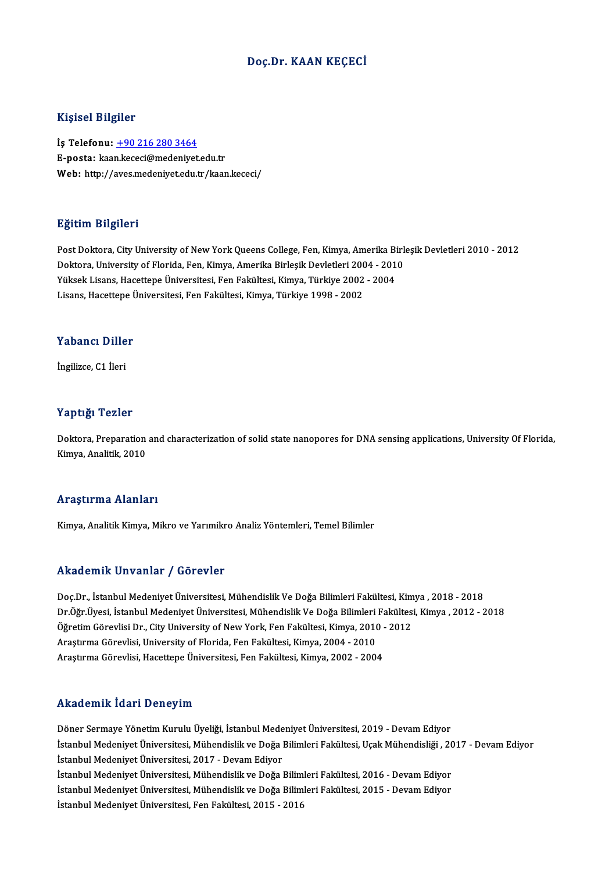#### Doç.Dr. KAAN KEÇECİ

#### Kişisel Bilgiler

İş Telefonu: +90 216 280 3464 E-posta: kaa[n.kececi@medeniyet](tel:+90 216 280 3464).edu.tr Web: http://aves.medeniyet.edu.tr/kaan.kececi/

#### Eğitim Bilgileri

Post Doktora, City University of New York Queens College, Fen, Kimya, Amerika Birleşik Devletleri 2010 - 2012 Doktora, City University of New York Queens College, Fen, Kimya, Amerika Birl<br>Doktora, University of Florida, Fen, Kimya, Amerika Birleşik Devletleri 2004 - 2010<br>Vülsek Lisens, Hasettene Üniversitesi, Een Felsiltesi, Kimya Post Doktora, City University of New York Queens College, Fen, Kimya, Amerika Bi<br>Doktora, University of Florida, Fen, Kimya, Amerika Birleşik Devletleri 2004 - 201<br>Yüksek Lisans, Hacettepe Üniversitesi, Fen Fakültesi, Kimy Doktora, University of Florida, Fen, Kimya, Amerika Birleşik Devletleri 200<br>Yüksek Lisans, Hacettepe Üniversitesi, Fen Fakültesi, Kimya, Türkiye 2002<br>Lisans, Hacettepe Üniversitesi, Fen Fakültesi, Kimya, Türkiye 1998 - 200 Lisans, Hacettepe Üniversitesi, Fen Fakültesi, Kimya, Türkiye 1998 - 2002<br>Yabancı Diller

İngilizce,C1 İleri

#### Yaptığı Tezler

Doktora, Preparation and characterization of solid state nanopores for DNA sensing applications, University Of Florida, Kimya, Analitik, 2010

#### Araştırma Alanları

Kimya, Analitik Kimya, Mikro ve Yarımikro Analiz Yöntemleri, Temel Bilimler

#### Akademik Unvanlar / Görevler

Akademik Unvanlar / Görevler<br>Doç.Dr., İstanbul Medeniyet Üniversitesi, Mühendislik Ve Doğa Bilimleri Fakültesi, Kimya , 2018 - 2018<br>Dr.Öžr Üvesi, İstanbul Medeniyet Üniversitesi, Mühendislik Ve Doğa Bilimleri Fakültesi, Ki rrikuderirik Onvurridi 7 dörevler<br>Doç.Dr., İstanbul Medeniyet Üniversitesi, Mühendislik Ve Doğa Bilimleri Fakültesi, Kimya , 2018 - 2018<br>Öğretim Cörevlisi Dr. City University of New York, Fen Fakültesi, Kimya 2010 -2012<br>Öğ Doç.Dr., İstanbul Medeniyet Üniversitesi, Mühendislik Ve Doğa Bilimleri Fakültesi, Kim<br>Dr.Öğr.Üyesi, İstanbul Medeniyet Üniversitesi, Mühendislik Ve Doğa Bilimleri Fakültesi<br>Öğretim Görevlisi Dr., City University of New Yo Dr.Öğr.Üyesi, İstanbul Medeniyet Üniversitesi, Mühendislik Ve Doğa Bilimleri Fakültesi, Kimya , 2012 - 2018<br>Öğretim Görevlisi Dr., City University of New York, Fen Fakültesi, Kimya, 2010 - 2012<br>Araştırma Görevlisi, Univers Araştırma Görevlisi, Hacettepe Üniversitesi, Fen Fakültesi, Kimya, 2002 - 2004

#### Akademik İdari Deneyim

Akademik İdari Deneyim<br>Döner Sermaye Yönetim Kurulu Üyeliği, İstanbul Medeniyet Üniversitesi, 2019 - Devam Ediyor<br>İstanbul Medeniyet Üniversitesi Mühendislik ve Değe Bilimleri Eskültesi, Hesk Mühendisliği, 20 İstanbul Medeniyet Üniversitesi, Mühendislik ve Doğa Bilimleri Fakültesi, Uçak Mühendisliği , 2017 - Devam Ediyor<br>İstanbul Medeniyet Üniversitesi, 2017 - Devam Ediyor Döner Sermaye Yönetim Kurulu Üyeliği, İstanbul Mede<br>İstanbul Medeniyet Üniversitesi, Mühendislik ve Doğa l<br>İstanbul Medeniyet Üniversitesi, 2017 - Devam Ediyor<br>İstanbul Medeniyet Üniversitesi, Mühendislik ve Doğa l İstanbul Medeniyet Üniversitesi, Mühendislik ve Doğa Bilimleri Fakültesi, Uçak Mühendisliği , 20<br>İstanbul Medeniyet Üniversitesi, 2017 - Devam Ediyor<br>İstanbul Medeniyet Üniversitesi, Mühendislik ve Doğa Bilimleri Fakültesi İstanbul Medeniyet Üniversitesi, 2017 - Devam Ediyor<br>İstanbul Medeniyet Üniversitesi, Mühendislik ve Doğa Bilimleri Fakültesi, 2016 - Devam Ediyor<br>İstanbul Medeniyet Üniversitesi, Mühendislik ve Doğa Bilimleri Fakültesi, 2 İstanbul Medeniyet Üniversitesi, Mühendislik ve Doğa Bilim<br>İstanbul Medeniyet Üniversitesi, Mühendislik ve Doğa Bilim<br>İstanbul Medeniyet Üniversitesi, Fen Fakültesi, 2015 - 2016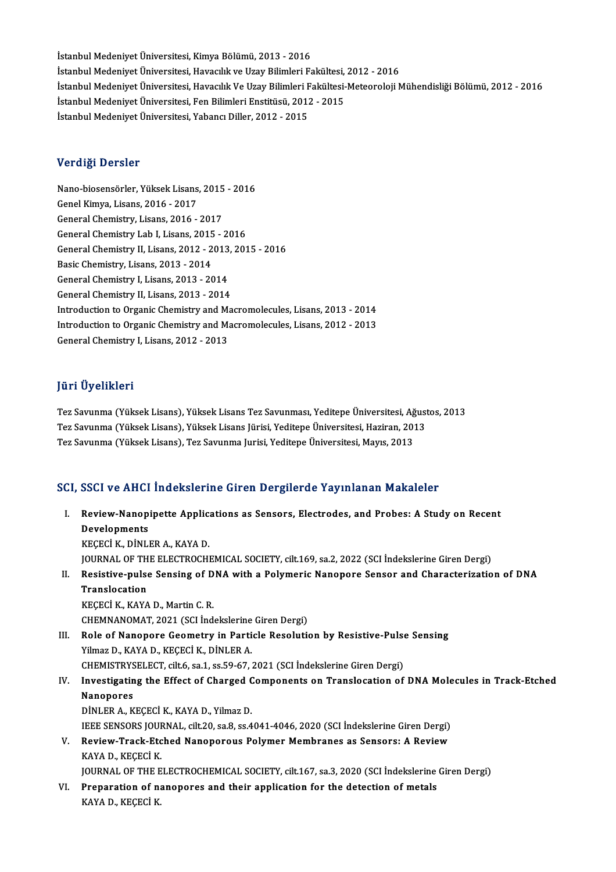İstanbul Medeniyet Üniversitesi, Kimya Bölümü, 2013 - 2016 İstanbul Medeniyet Üniversitesi, Kimya Bölümü, 2013 - 2016<br>İstanbul Medeniyet Üniversitesi, Havacılık ve Uzay Bilimleri Fakültesi, 2012 - 2016<br>İstanbul Medeniyet Üniversitesi, Havacılık Ve Uzay Bilimleri Fakültesi, Meteoro İstanbul Medeniyet Üniversitesi, Kimya Bölümü, 2013 - 2016<br>İstanbul Medeniyet Üniversitesi, Havacılık ve Uzay Bilimleri Fakültesi, 2012 - 2016<br>İstanbul Medeniyet Üniversitesi, Havacılık Ve Uzay Bilimleri Fakültesi-Meteorol İstanbul Medeniyet Üniversitesi, Havacılık ve Uzay Bilimleri Fakültesi,<br>İstanbul Medeniyet Üniversitesi, Havacılık Ve Uzay Bilimleri Fakültesi-<br>İstanbul Medeniyet Üniversitesi, Fen Bilimleri Enstitüsü, 2012 - 2015<br>İstanbul İstanbul Medeniyet Üniversitesi, Havacılık Ve Uzay Bilimleri F<br>İstanbul Medeniyet Üniversitesi, Fen Bilimleri Enstitüsü, 2012<br>İstanbul Medeniyet Üniversitesi, Yabancı Diller, 2012 - 2015 İstanbul Medeniyet Üniversitesi, Yabancı Diller, 2012 - 2015<br>Verdiği Dersler

Verdiği Dersler<br>Nano-biosensörler, Yüksek Lisans, 2015 - 2016<br>Cenel Kimua Lisans, 2016 - 2017 vor dryf Dorbron<br>Nano-biosensörler, Yüksek Lisans<br>Genel Kimya, Lisans, 2016 - 2017<br>Conoral Chemistry, Lisans, 2016 Genel Kimya, Lisans, 2016 - 2017<br>General Chemistry, Lisans, 2016 - 2017 Genel Kimya, Lisans, 2016 - 2017<br>General Chemistry, Lisans, 2016 - 2017<br>General Chemistry Lab I, Lisans, 2015 - 2016<br>Ceneral Chemistry, II, Lisans, 2012 - 2012, 201 General Chemistry, Lisans, 2016 - 2017<br>General Chemistry Lab I, Lisans, 2015 - 2016<br>General Chemistry II, Lisans, 2012 - 2013, 2015 - 2016<br>Pesis Chemistry, Lisans, 2012 - 2014 General Chemistry Lab I, Lisans, 2015<br>General Chemistry II, Lisans, 2012 - 2<br>Basic Chemistry, Lisans, 2013 - 2014<br>Conaral Chemistry I, Lisans, 2012 - 20 General Chemistry II, Lisans, 2012 - 2013<br>Basic Chemistry, Lisans, 2013 - 2014<br>General Chemistry I, Lisans, 2013 - 2014<br>Canaral Chemistry II, Lisans, 2013 - 2014 Basic Chemistry, Lisans, 2013 - 2014<br>General Chemistry I, Lisans, 2013 - 2014<br>General Chemistry II, Lisans, 2013 - 2014 General Chemistry I, Lisans, 2013 - 2014<br>General Chemistry II, Lisans, 2013 - 2014<br>Introduction to Organic Chemistry and Macromolecules, Lisans, 2013 - 2014<br>Introduction to Organic Chemistry and Macromolecules, Lisans, 201 General Chemistry II, Lisans, 2013 - 2014<br>Introduction to Organic Chemistry and Macromolecules, Lisans, 2013 - 2014<br>Introduction to Organic Chemistry and Macromolecules, Lisans, 2012 - 2013<br>Canaral Chemistry I, Lisans, 201 Introduction to Organic Chemistry and M:<br>Introduction to Organic Chemistry and M:<br>General Chemistry I, Lisans, 2012 - 2013 General Chemistry I, Lisans, 2012 - 2013<br>Jüri Üyelikleri

Jüri Üyelikleri<br>Tez Savunma (Yüksek Lisans), Yüksek Lisans Tez Savunması, Yeditepe Üniversitesi, Ağustos, 2013<br>Tez Savunma (Yüksek Lisans), Yüksek Lisans Jürisi, Yeditane Üniversitesi, Haziran, 2012 Jarr Oyommorr<br>Tez Savunma (Yüksek Lisans), Yüksek Lisans Tez Savunması, Yeditepe Üniversitesi, Ağust<br>Tez Savunma (Yüksek Lisans), Yüksek Lisans Jürisi, Yeditepe Üniversitesi, Haziran, 2013<br>Tez Savunma (Vülsek Lisans), Tez Tez Savunma (Yüksek Lisans), Yüksek Lisans Jürisi, Yeditepe Üniversitesi, Haziran, 2013<br>Tez Savunma (Yüksek Lisans), Tez Savunma Jurisi, Yeditepe Üniversitesi, Mayıs, 2013

### SCI, SSCI ve AHCI İndekslerine Giren Dergilerde Yayınlanan Makaleler

CI, SSCI ve AHCI İndekslerine Giren Dergilerde Yayınlanan Makaleler<br>I. Review-Nanopipette Applications as Sensors, Electrodes, and Probes: A Study on Recent<br>Revelemments BBB1 ve IIII<br>Review-Nanop<br>Developments<br>*VECEC*LY DINLI Review-Nanopipette Applic:<br>Developments<br>KEÇECİ K., DİNLER A., KAYA D.<br>JOUPMAL OF THE FLECTPOCH! Developments<br>KEÇECİ K., DİNLER A., KAYA D.<br>JOURNAL OF THE ELECTROCHEMICAL SOCIETY, cilt.169, sa.2, 2022 (SCI İndekslerine Giren Dergi)<br>Posistive pulse Sonsing of DNA with a Bolymeris Naponere Sonsor and Characterizatio KEÇECİ K., DİNLER A., KAYA D.<br>JOURNAL OF THE ELECTROCHEMICAL SOCIETY, cilt.169, sa.2, 2022 (SCI İndekslerine Giren Dergi)<br>II. Resistive-pulse Sensing of DNA with a Polymeric Nanopore Sensor and Characterization of DNA<br>Tran JOURNAL OF TH<br>Resistive-pulse<br>Translocation<br>PECECLE FAVA KEÇECİ K., KAYA D., Martin C. R. CHEMNANOMAT, 2021 (SCI İndekslerine Giren Dergi) KEÇECİ K., KAYA D., Martin C. R.<br>CHEMNANOMAT, 2021 (SCI İndekslerine Giren Dergi)<br>III. Role of Nanopore Geometry in Particle Resolution by Resistive-Pulse Sensing<br>Vilmar D. KAYA D. KECECİ K. DİNLER A Yilmaz D., KAYA D., KEÇECİ K., DİNLER A.<br>CHEMISTRYSELECT. cilt.6. sa.1. ss.59-67. 2021 (SCI İndekslerine Giren Dergi) Role of Nanopore Geometry in Particle Resolution by Resistive-Pulse<br>Yilmaz D., KAYA D., KEÇECİ K., DİNLER A.<br>CHEMISTRYSELECT, cilt.6, sa.1, ss.59-67, 2021 (SCI İndekslerine Giren Dergi)<br>Investigating the Effect of Charged Yilmaz D., KAYA D., KEÇECİ K., DİNLER A.<br>CHEMISTRYSELECT, cilt.6, sa.1, ss.59-67, 2021 (SCI İndekslerine Giren Dergi)<br>IV. Investigating the Effect of Charged Components on Translocation of DNA Molecules in Track-Etched<br>Nan Nanopores<br>DINLER A., KECECI K., KAYA D., Yilmaz D. Investigating the Effect of Charged C<br>Nanopores<br>DİNLER A., KEÇECİ K., KAYA D., Yilmaz D.<br>IEEE SENSOPS JOUPNAL .cilt 20, 22, 25, 4 IEEESENSORS JOURNAL, cilt.20, sa.8, ss.4041-4046,2020 (SCI İndekslerineGirenDergi) DINLER A., KEÇECI K., KAYA D., Yilmaz D.<br>IEEE SENSORS JOURNAL, cilt.20, sa.8, ss.4041-4046, 2020 (SCI Indekslerine Giren Dergi)<br>V. Review-Track-Etched Nanoporous Polymer Membranes as Sensors: A Review<br>KAYA D. KECECI K. **IEEE SENSORS JOUF<br>Review-Track-Etc<br>KAYA D., KEÇECİ K.<br>JOUPNAL OF THE E** KAYA D., KEÇECİ K.<br>JOURNAL OF THE ELECTROCHEMICAL SOCIETY, cilt.167, sa.3, 2020 (SCI İndekslerine Giren Dergi) KAYA D., KEÇECİ K.<br>JOURNAL OF THE ELECTROCHEMICAL SOCIETY, cilt.167, sa.3, 2020 (SCI İndekslerine<br>VI. Preparation of nanopores and their application for the detection of metals<br>KAYA D. KECECİ K. JOURNAL OF THE E<br>Preparation of n:<br>KAYA D., KEÇECİ K.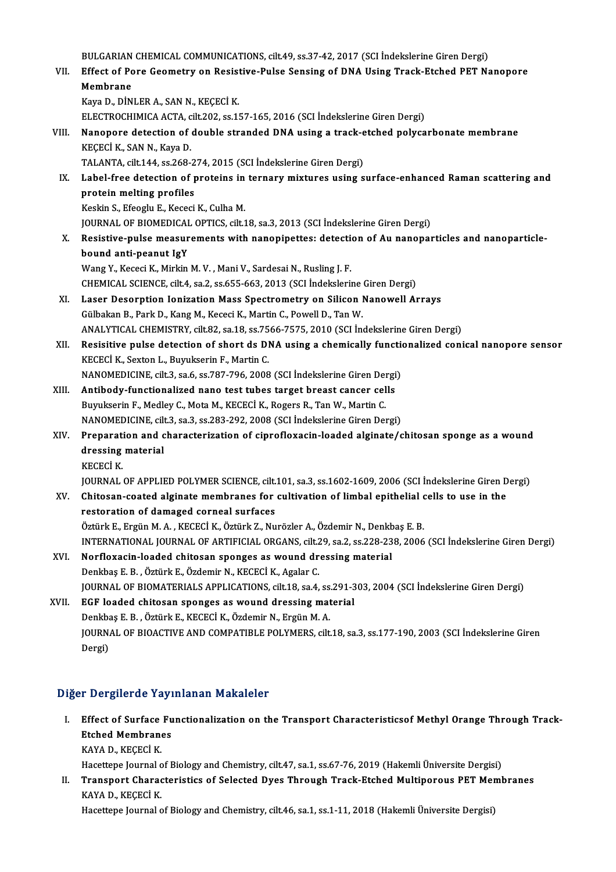BULGARIAN CHEMICAL COMMUNICATIONS, cilt.49, ss.37-42, 2017 (SCI İndekslerine Giren Dergi)<br>Effect of Para Coometry on Posistive Pulse Sansing of DNA Heing Track Etchod PET Ne BULGARIAN CHEMICAL COMMUNICATIONS, cilt.49, ss.37-42, 2017 (SCI İndekslerine Giren Dergi)<br>VII. Effect of Pore Geometry on Resistive-Pulse Sensing of DNA Using Track-Etched PET Nanopore<br>Membrane BULGARIAN<br>Effect of Po<br>Membrane<br>Kaya Da D<sup>in</sup> Effect of Pore Geometry on Resist<br>Membrane<br>Kaya D., DİNLER A., SAN N., KEÇECİ K.<br>ELECTROCUIMICA ACTA .sil: 202. ss.1. Membrane<br>Kaya D., DİNLER A., SAN N., KEÇECİ K.<br>ELECTROCHIMICA ACTA, cilt.202, ss.157-165, 2016 (SCI İndekslerine Giren Dergi) Kaya D., DİNLER A., SAN N., KEÇECİ K.<br>ELECTROCHIMICA ACTA, cilt.202, ss.157-165, 2016 (SCI İndekslerine Giren Dergi)<br>VIII. Nanopore detection of double stranded DNA using a track-etched polycarbonate membrane<br>KECECİ K. SAN KEÇECİ K., SAN N., Kaya D.<br>TALANTA, cilt.144, ss.268-274, 2015 (SCI İndekslerine Giren Dergi) Nanopore detection of double stranded DNA using a track-e<br>KEÇECİ K., SAN N., Kaya D.<br>TALANTA, cilt.144, ss.268-274, 2015 (SCI İndekslerine Giren Dergi)<br>Label free detection of proteins in tennevy mixtures using s KEÇECİ K., SAN N., Kaya D.<br>TALANTA, cilt.144, ss.268-274, 2015 (SCI İndekslerine Giren Dergi)<br>IX. Label-free detection of proteins in ternary mixtures using surface-enhanced Raman scattering and<br>protein melting profiles protein melting profiles<br>Keskin S., Efeoglu E., Kececi K., Culha M. Label-free detection of proteins in<br>protein melting profiles<br>Keskin S., Efeoglu E., Kececi K., Culha M.<br>JOUPNAL OF PIOMEDICAL OPTICS silt 1 JOURNAL OF BIOMEDICAL OPTICS, cilt.18, sa.3, 2013 (SCI İndekslerine Giren Dergi) X. Resistive-pulsemeasurements with nanopipettes: detection of Au nanoparticles and nanoparticlebound anti-peanut IgY Wang Y., Kececi K., Mirkin M. V., Mani V., Sardesai N., Rusling J. F. bound anti-peanut IgY<br>Wang Y., Kececi K., Mirkin M. V. , Mani V., Sardesai N., Rusling J. F.<br>CHEMICAL SCIENCE, cilt.4, sa.2, ss.655-663, 2013 (SCI İndekslerine Giren Dergi)<br>Laser Deserntian Jenization Mass Spectrometry on XI. Laser Desorption Ionization Mass Spectrometry on Silicon Nanowell Arrays<br>Gülbakan B., Park D., Kang M., Kececi K., Martin C., Powell D., Tan W. CHEMICAL SCIENCE, cilt.4, sa.2, ss.655-663, 2013 (SCI Indekslerine<br>Laser Desorption Ionization Mass Spectrometry on Silicon I<br>Gülbakan B., Park D., Kang M., Kececi K., Martin C., Powell D., Tan W.<br>ANALYTICAL CHEMISTRY silt ANALYTICAL CHEMISTRY, cilt.82, sa.18, ss.7566-7575,2010 (SCI İndekslerineGirenDergi) Gülbakan B., Park D., Kang M., Kececi K., Martin C., Powell D., Tan W.<br>ANALYTICAL CHEMISTRY, cilt.82, sa.18, ss.7566-7575, 2010 (SCI Indekslerine Giren Dergi)<br>XII. Resisitive pulse detection of short ds DNA using a chemica ANALYTICAL CHEMISTRY, cilt.82, sa.18, ss.75<br>Resisitive pulse detection of short ds DI<br>KECECİ K., Sexton L., Buyukserin F., Martin C.<br>NANOMEDICINE silt 3, sa.6, ss.797, 796, 2009 Resisitive pulse detection of short ds DNA using a chemically function<br>KECECI K., Sexton L., Buyukserin F., Martin C.<br>NANOMEDICINE, cilt.3, sa.6, ss.787-796, 2008 (SCI İndekslerine Giren Dergi) KECECI K., Sexton L., Buyukserin F., Martin C.<br>NANOMEDICINE, cilt.3, sa.6, ss.787-796, 2008 (SCI Indekslerine Giren Dergi<br>XIII. Antibody-functionalized nano test tubes target breast cancer cells<br>Purukserin E. Medley C. Met NANOMEDICINE, cilt.3, sa.6, ss.787-796, 2008 (SCI İndekslerine Giren Del<br>Antibody-functionalized nano test tubes target breast cancer cel<br>Buyukserin F., Medley C., Mota M., KECECİ K., Rogers R., Tan W., Martin C.<br>NANOMEDIC Antibody-functionalized nano test tubes target breast cancer cells<br>Buyukserin F., Medley C., Mota M., KECECİ K., Rogers R., Tan W., Martin C.<br>NANOMEDICINE, cilt.3, sa.3, ss.283-292, 2008 (SCI İndekslerine Giren Dergi)<br>Prep Buyukserin F., Medley C., Mota M., KECECİ K., Rogers R., Tan W., Martin C.<br>NANOMEDICINE, cilt.3, sa.3, ss.283-292, 2008 (SCI İndekslerine Giren Dergi)<br>XIV. Preparation and characterization of ciprofloxacin-loaded alginate/ NANOMEDICINE, cil<mark><br>Preparation and c<br>dressing material</mark><br>VECEC<sup>I</sup> V Preparati<br>dressing<br>KECECİ K.<br>IOUPNAL dressing material<br>KECECİ K.<br>JOURNAL OF APPLIED POLYMER SCIENCE, cilt.101, sa.3, ss.1602-1609, 2006 (SCI İndekslerine Giren Dergi)<br>Chitasan soated alsinate membranes for sultivation of limbel enithelial sells te use in the KECECI K.<br>JOURNAL OF APPLIED POLYMER SCIENCE, cilt.101, sa.3, ss.1602-1609, 2006 (SCI Indekslerine Giren D<br>XV. Chitosan-coated alginate membranes for cultivation of limbal epithelial cells to use in the<br>nesteration of demo JOURNAL OF APPLIED POLYMER SCIENCE, cilt.<br>Chitosan-coated alginate membranes for<br>restoration of damaged corneal surfaces Chitosan-coated alginate membranes for cultivation of limbal epithelial d<br>restoration of damaged corneal surfaces<br>Öztürk E., Ergün M. A. , KECECİ K., Öztürk Z., Nurözler A., Özdemir N., Denkbaş E. B.<br>INTERNATIONAL JOURNAL restoration of damaged corneal surfaces<br>Öztürk E., Ergün M. A. , KECECİ K., Öztürk Z., Nurözler A., Özdemir N., Denkbaş E. B.<br>INTERNATIONAL JOURNAL OF ARTIFICIAL ORGANS, cilt.29, sa.2, ss.228-238, 2006 (SCI İndekslerine Gi Öztürk E., Ergün M. A., KECECİ K., Öztürk Z., Nurözler A., Özdemir N., Denkb<br>INTERNATIONAL JOURNAL OF ARTIFICIAL ORGANS, cilt.29, sa.2, ss.228-23<br>XVI. Norfloxacin-loaded chitosan sponges as wound dressing material<br>Depithes INTERNATIONAL JOURNAL OF ARTIFICIAL ORGANS, cilt.2<br>Norfloxacin-loaded chitosan sponges as wound dr<br>Denkbaş E. B. , Öztürk E., Özdemir N., KECECİ K., Agalar C.<br>JOUPNAL OF PIOMATERIALS APRLICATIONS silt 19.934 Norfloxacin-loaded chitosan sponges as wound dressing material<br>Denkbaş E. B. , Öztürk E., Özdemir N., KECECİ K., Agalar C.<br>JOURNAL OF BIOMATERIALS APPLICATIONS, cilt.18, sa.4, ss.291-303, 2004 (SCI İndekslerine Giren Dergi XVII. EGF loaded chitosan sponges as wound dressing material JOURNAL OF BIOMATERIALS APPLICATIONS, cilt.18, sa.4, ss.<br>EGF loaded chitosan sponges as wound dressing mat<br>Denkbaş E. B. , Öztürk E., KECECİ K., Özdemir N., Ergün M. A.<br>JOUPNAL OF PJOACTIVE AND COMPATIPLE POLYMEPS, cilt JOURNAL OF BIOACTIVE AND COMPATIBLE POLYMERS, cilt.18, sa.3, ss.177-190, 2003 (SCI İndekslerine Giren<br>Dergi) Denkba<br>JOURN<br>Dergi)

## Diğer Dergilerde Yayınlanan Makaleler

Iger Dergilerde Yayınlanan Makaleler<br>I. Effect of Surface Functionalization on the Transport Characteristicsof Methyl Orange Through Track-Effect of Surface Fu<br>Effect of Surface Fu<br>Etched Membranes Effect of Surface<br>Etched Membran<br>KAYA D., KEÇECİ K.<br>Hasattana Jaumal a Etched Membranes<br>KAYA D., KEÇECİ K.<br>Hacettepe Journal of Biology and Chemistry, cilt.47, sa.1, ss.67-76, 2019 (Hakemli Üniversite Dergisi)

KAYA D., KEÇECİ K.<br>I . Hacettepe Journal of Biology and Chemistry, cilt.47, sa.1, ss.67-76, 2019 (Hakemli Üniversite Dergisi)<br>I . Transport Characteristics of Selected Dyes Through Track-Etched Multiporous PET Membranes<br>KA Hacettepe Journal o<br><mark>Transport Charac</mark><br>KAYA D., KEÇECİ K.<br>Hacettana Journal o Transport Characteristics of Selected Dyes Through Track-Etched Multiporous PET Mer<br>KAYA D., KEÇECİ K.<br>Hacettepe Journal of Biology and Chemistry, cilt.46, sa.1, ss.1-11, 2018 (Hakemli Üniversite Dergisi)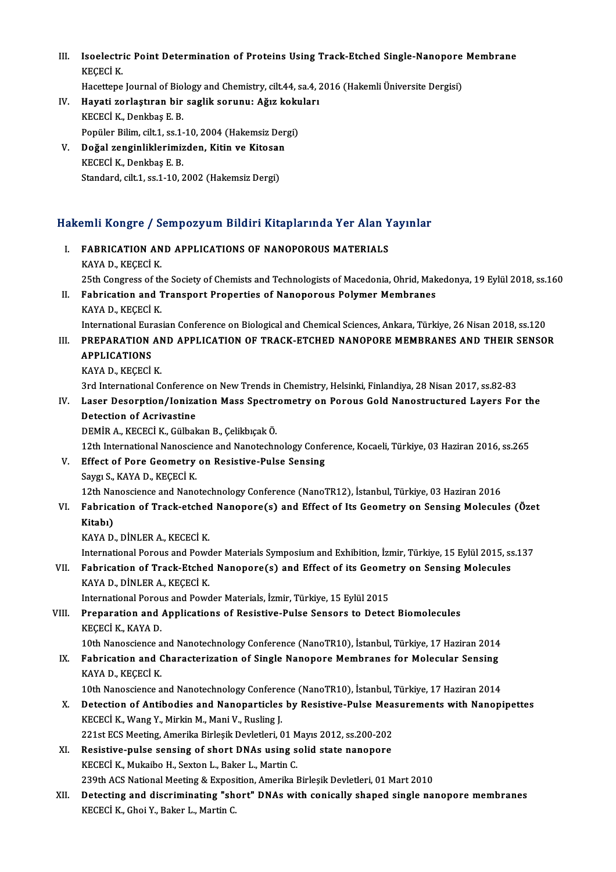- III. Isoelectric Point Determination of Proteins Using Track-Etched Single-Nanopore Membrane<br>KECECLK Isoelectri<br>KEÇECİ K.<br>Hasattana Isoelectric Point Determination of Proteins Using Track-Etched Single-Nanopore<br>KEÇECİ K.<br>Hacettepe Journal of Biology and Chemistry, cilt.44, sa.4, 2016 (Hakemli Üniversite Dergisi)<br>Haveti gerlestinen bin seglik serunu. Ağ KEÇECİ K.<br>Hacettepe Journal of Biology and Chemistry, cilt.44, sa.4, 2<br>IV. Hayati zorlaştıran bir saglik sorunu: Ağız kokuları<br>KEÇECİ K. Donlines E. B.
- Hacettepe Journal of Biol<br>Hayati zorlaştıran bir<br>KECECİ K., Denkbaş E. B.<br>Ponüler Bilim cilt 1, sc 1 Hayati zorlaştıran bir saglik sorunu: Ağız koku<br>KECECİ K., Denkbaş E. B.<br>Popüler Bilim, cilt.1, ss.1-10, 2004 (Hakemsiz Dergi)<br>Doğal genginliklerimişden, Kitin ve Kitosan KECECİ K., Denkbaş E. B.<br>Popüler Bilim, cilt.1, ss.1-10, 2004 (Hakemsiz Der<br>V. Doğal zenginliklerimizden, Kitin ve Kitosan<br>KECECİ K. Donkbaş E. B.
- Popüler Bilim, cilt.1, ss.1-<br>Doğal zenginliklerimiz<br>KECECİ K., Denkbaş E. B.<br>Standard, cilt.1, ss.1, 10, 3 Doğal zenginliklerimizden, Kitin ve Kitosar<br>KECECİ K., Denkbaş E. B.<br>Standard, cilt.1, ss.1-10, 2002 (Hakemsiz Dergi)

## standard, cht.1, ss.1-10, 2002 (Hakemsiz Dergi)<br>Hakemli Kongre / Sempozyum Bildiri Kitaplarında Yer Alan Yayınlar akemli Kongre / Sempozyum Bildiri Kitaplarında Yer Alan Y<br>I. FABRICATION AND APPLICATIONS OF NANOPOROUS MATERIALS

- I. FABRICATION AND APPLICATIONS OF NANOPOROUS MATERIALS<br>KAYA D., KEÇECİ K. 25th Congress of the Society of Chemists and Technologists of Macedonia, Ohrid, Makedonya, 19 Eylül 2018, ss.160 KAYA D., KEÇECİ K.<br>25th Congress of the Society of Chemists and Technologists of Macedonia, Ohrid, Mak<br>II. Fabrication and Transport Properties of Nanoporous Polymer Membranes<br>KAYA D. KEÇECİ K. 25th Congress of th<br>Fabrication and 1<br>KAYA D., KEÇECİ K.<br>International Euros Fabrication and Transport Properties of Nanoporous Polymer Membranes<br>KAYA D., KEÇECİ K.<br>International Eurasian Conference on Biological and Chemical Sciences, Ankara, Türkiye, 26 Nisan 2018, ss.120<br>PRERARATION AND APRI ICA KAYA D., KEÇECİ K.<br>International Eurasian Conference on Biological and Chemical Sciences, Ankara, Türkiye, 26 Nisan 2018, ss.120<br>III. PREPARATION AND APPLICATION OF TRACK-ETCHED NANOPORE MEMBRANES AND THEIR SENSOR<br>APPL International Eur<br>PREPARATION<br>APPLICATIONS<br>KAVA D. KECECI KAYA D., KEÇECİ K. 3rd International Conference on New Trends in Chemistry, Helsinki, Finlandiya, 28 Nisan 2017, ss.82-83 KAYA D., KEÇECİ K.<br>3rd International Conference on New Trends in Chemistry, Helsinki, Finlandiya, 28 Nisan 2017, ss.82-83<br>IV. Laser Desorption/Ionization Mass Spectrometry on Porous Gold Nanostructured Layers For the<br>D 3rd International Conference<br>Laser Desorption/Ioniza<br>Detection of Acrivastine<br>DEMIP A RECECLE Cülbal Detection of Acrivastine<br>DEMİR A., KECECİ K., Gülbakan B., Çelikbıçak Ö. Detection of Acrivastine<br>DEMİR A., KECECİ K., Gülbakan B., Çelikbıçak Ö.<br>12th International Nanoscience and Nanotechnology Conference, Kocaeli, Türkiye, 03 Haziran 2016, ss.265<br>Effect of Pere Coemetry on Pesistive Pulse Se DEMIR A., KECECI K., Gülbakan B., Çelikbıçak Ö.<br>12th International Nanoscience and Nanotechnology Confe<br>V. Effect of Pore Geometry on Resistive-Pulse Sensing<br>Seven S. KAVA D. KECECI K. 12th International Nanoscie<br>Effect of Pore Geometry<br>Saygı S., KAYA D., KEÇECİ K.<br>12th Nanosciones and Nano Effect of Pore Geometry on Resistive-Pulse Sensing<br>Saygı S., KAYA D., KEÇECİ K.<br>12th Nanoscience and Nanotechnology Conference (NanoTR12), İstanbul, Türkiye, 03 Haziran 2016<br>Febrisation of Track etched Nanonora(s) and Effe Saygı S., KAYA D., KEÇECİ K.<br>12th Nanoscience and Nanotechnology Conference (NanoTR12), İstanbul, Türkiye, 03 Haziran 2016<br>13. Fabrication of Track-etched Nanopore(s) and Effect of Its Geometry on Sensing Molecules (Özet<br>1 12th Nai<br><mark>Fabrica</mark><br>Kitabı)<br><sup>KAVA D</sup> Fabrication of Track-etched<br>Kitabı)<br>KAYA D., DİNLER A., KECECİ K.<br>International Bereya and Beyg Kitabı)<br>KAYA D., DİNLER A., KECECİ K.<br>International Porous and Powder Materials Symposium and Exhibition, İzmir, Türkiye, 15 Eylül 2015, ss.137<br>Febrisation of Trask Etsbed Napenene(s) and Effect of its Ceemetry en Sensing KAYA D., DİNLER A., KECECİ K.<br>International Porous and Powder Materials Symposium and Exhibition, İzmir, Türkiye, 15 Eylül 2015, ss.<br>VII. Fabrication of Track-Etched Nanopore(s) and Effect of its Geometry on Sensing Mo International Porous and Powe<br>Fabrication of Track-Etchee<br>KAYA D., DİNLER A., KEÇECİ K.<br>International Pereus and Powe VII. Fabrication of Track-Etched Nanopore(s) and Effect of its Geometry on Sensing Molecules<br>KAYA D., DINLER A., KECECI K. VIII. Preparation and Applications of Resistive-Pulse Sensors to Detect Biomolecules<br>KECECI K., KAYA D. International Porous and Powder Materials, İzmir, Türkiye, 15 Eylül 2015 10th Nanoscience and Nanotechnology Conference (NanoTR10), İstanbul, Türkiye, 17 Haziran 2014 KEÇECİ K., KAYA D.<br>10th Nanoscience and Nanotechnology Conference (NanoTR10), İstanbul, Türkiye, 17 Haziran 2014<br>IX. Fabrication and Characterization of Single Nanopore Membranes for Molecular Sensing<br>KAVA D. KECECİ K. 10th Nanoscience a<br>Fabrication and C<br>KAYA D., KEÇECİ K.<br>10th Nanosciance a KAYA D., KEÇECİ K.<br>10th Nanoscience and Nanotechnology Conference (NanoTR10), İstanbul, Türkiye, 17 Haziran 2014 KAYA D., KEÇECİ K.<br>10th Nanoscience and Nanotechnology Conference (NanoTR10), İstanbul, Türkiye, 17 Haziran 2014<br>X. Detection of Antibodies and Nanoparticles by Resistive-Pulse Measurements with Nanopipettes 10th Nanoscience and Nanotechnology Conference<br>Detection of Antibodies and Nanoparticles<br>KECECİ K., Wang Y., Mirkin M., Mani V., Rusling J. Detection of Antibodies and Nanoparticles by Resistive-Pulse Mea<br>KECECI K., Wang Y., Mirkin M., Mani V., Rusling J.<br>221st ECS Meeting, Amerika Birleşik Devletleri, 01 Mayıs 2012, ss.200-202<br>Besistive pulse sensing of short KECECİ K., Wang Y., Mirkin M., Mani V., Rusling J.<br>221st ECS Meeting, Amerika Birleşik Devletleri, 01 Mayıs 2012, ss.200-202<br>XI. Resistive-pulse sensing of short DNAs using solid state nanopore 221st ECS Meeting, Amerika Birleşik Devletleri, 01 M<br>Resistive-pulse sensing of short DNAs using s<br>KECECİ K., Mukaibo H., Sexton L., Baker L., Martin C.<br>220th ACS National Meeting & Eunesition Amerika l KECECİ K., Mukaibo H., Sexton L., Baker L., Martin C.<br>239th ACS National Meeting & Exposition, Amerika Birleşik Devletleri, 01 Mart 2010 KECECİ K., Mukaibo H., Sexton L., Baker L., Martin C.<br>239th ACS National Meeting & Exposition, Amerika Birleşik Devletleri, 01 Mart 2010<br>XII. Detecting and discriminating "short" DNAs with conically shaped single nanopore
- 239th ACS National Meeting & Exposi<br>Detectin<mark>g and discriminating "sh</mark><br>KECECİ K., Ghoi Y., Baker L., Martin C.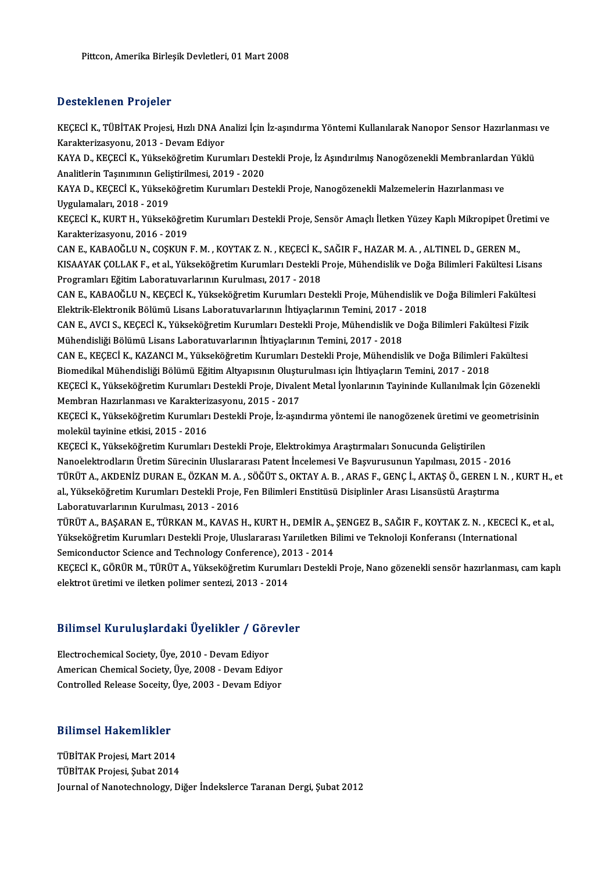#### Desteklenen Projeler

Desteklenen Projeler<br>KEÇECİ K., TÜBİTAK Projesi, Hızlı DNA Analizi İçin İz-aşındırma Yöntemi Kullanılarak Nanopor Sensor Hazırlanması ve<br>Kanakterirasyonu, 2013 - Dovam Ediyor Bebeemenen in system<br>KEÇECİ K., TÜBİTAK Projesi, Hızlı DNA Al<br>Karakterizasyonu, 2013 - Devam Ediyor<br>KAVA D. KEÇECİ K. Yükooköğretim Kuru KEÇECİ K., TÜBİTAK Projesi, Hızlı DNA Analizi İçin İz-aşındırma Yöntemi Kullanılarak Nanopor Sensor Hazırlanması<br>Karakterizasyonu, 2013 - Devam Ediyor<br>KAYA D., KEÇECİ K., Yükseköğretim Kurumları Destekli Proje, İz Aşındırı

Karakterizasyonu, 2013 - Devam Ediyor<br>KAYA D., KEÇECİ K., Yükseköğretim Kurumları Des<br>Analitlerin Taşınımının Geliştirilmesi, 2019 - 2020<br>KAYA D., KEÇECİ K., Yükseköğretim Kurumları Des KAYA D., KEÇECİ K., Yükseköğretim Kurumları Destekli Proje, İz Aşındırılmış Nanogözenekli Membranlardan<br>Analitlerin Taşınımının Geliştirilmesi, 2019 - 2020<br>KAYA D., KEÇECİ K., Yükseköğretim Kurumları Destekli Proje, Nanogö

Analitlerin Taşınımının Geliştirilmesi, 2019 - 2020<br>KAYA D., KEÇECİ K., Yükseköğretim Kurumları Destekli Proje, Nanogözenekli Malzemelerin Hazırlanması ve<br>Uygulamaları, 2018 - 2019 KAYA D., KEÇECİ K., Yükseköğretim Kurumları Destekli Proje, Nanogözenekli Malzemelerin Hazırlanması ve<br>Uygulamaları, 2018 - 2019<br>KEÇECİ K., KURT H., Yükseköğretim Kurumları Destekli Proje, Sensör Amaçlı İletken Yüzey Kaplı

Uygulamaları, 2018 - 2019<br>KEÇECİ K., KURT H., Yükseköğre<br>Karakterizasyonu, 2016 - 2019<br>CAN E. KARAQĞLU N. COSKUN KEÇECİ K., KURT H., Yükseköğretim Kurumları Destekli Proje, Sensör Amaçlı İletken Yüzey Kaplı Mikropipet Üre<br>Karakterizasyonu, 2016 - 2019<br>CAN E., KABAOĞLU N., COŞKUN F. M. , KOYTAK Z. N. , KEÇECİ K., SAĞIR F., HAZAR M. A.

Karakterizasyonu, 2016 - 2019<br>CAN E., KABAOĞLU N., COŞKUN F. M. , KOYTAK Z. N. , KEÇECİ K., SAĞIR F., HAZAR M. A. , ALTINEL D., GEREN M.,<br>KISAAYAK ÇOLLAK F., et al., Yükseköğretim Kurumları Destekli Proje, Mühendislik ve D CAN E., KABAOĞLU N., COŞKUN F. M., KOYTAK Z. N., KEÇECİ K., SAĞIR F., HAZAR M. A., ALTINEL D., GEREN M., KISAAYAK ÇOLLAK F., et al., Yükseköğretim Kurumları Destekli Proje, Mühendislik ve Doğa Bilimleri Fakültesi Lisan<br>Programları Eğitim Laboratuvarlarının Kurulması, 2017 - 2018<br>CAN E., KABAOĞLU N., KEÇECİ K., Yükseköğretim K

Programları Eğitim Laboratuvarlarının Kurulması, 2017 - 2018<br>CAN E., KABAOĞLU N., KEÇECİ K., Yükseköğretim Kurumları Destekli Proje, Mühendislik v<br>Elektrik-Elektronik Bölümü Lisans Laboratuvarlarının İhtiyaçlarının Temini, CAN E., KABAOĞLU N., KEÇECİ K., Yükseköğretim Kurumları Destekli Proje, Mühendislik ve Doğa Bilimleri Fakültes<br>Elektrik-Elektronik Bölümü Lisans Laboratuvarlarının İhtiyaçlarının Temini, 2017 - 2018<br>CAN E., AVCI S., KEÇECİ

Elektrik-Elektronik Bölümü Lisans Laboratuvarlarının İhtiyaçlarının Temini, 2017 - 2018<br>CAN E., AVCI S., KEÇECİ K., Yükseköğretim Kurumları Destekli Proje, Mühendislik ve Doğa Bilimleri Fakültesi Fizik<br>Mühendisliği Bölümü CAN E., AVCI S., KEÇECİ K., Yükseköğretim Kurumları Destekli Proje, Mühendislik ve Doğa Bilimleri Fakültesi Fizik<br>Mühendisliği Bölümü Lisans Laboratuvarlarının İhtiyaçlarının Temini, 2017 - 2018<br>CAN E., KEÇECİ K., KAZANCI

Mühendisliği Bölümü Lisans Laboratuvarlarının İhtiyaçlarının Temini, 2017 - 2018<br>CAN E., KEÇECİ K., KAZANCI M., Yükseköğretim Kurumları Destekli Proje, Mühendislik ve Doğa Bilimleri I<br>Biomedikal Mühendisliği Bölümü Eğitim CAN E., KEÇECİ K., KAZANCI M., Yükseköğretim Kurumları Destekli Proje, Mühendislik ve Doğa Bilimleri Fakültesi<br>Biomedikal Mühendisliği Bölümü Eğitim Altyapısının Oluşturulması için İhtiyaçların Temini, 2017 - 2018<br>KEÇECİ K Biomedikal Mühendisliği Bölümü Eğitim Altyapısının Oluştu<br>KEÇECİ K., Yükseköğretim Kurumları Destekli Proje, Divale<br>Membran Hazırlanması ve Karakterizasyonu, 2015 - 2017<br>KEÇECİ K. Yükseköğretim Kurumları Destekli Proje, İz

KEÇECİ K., Yükseköğretim Kurumları Destekli Proje, Divalent Metal İyonlarının Tayininde Kullanılmak İçin Gözenekli<br>Membran Hazırlanması ve Karakterizasyonu, 2015 - 2017<br>KEÇECİ K., Yükseköğretim Kurumları Destekli Proje, İz Membran Hazırlanması ve Karakterizasyonu, 2015 - 2017<br>KEÇECİ K., Yükseköğretim Kurumları Destekli Proje, İz-aşındırma yöntemi ile nanogözenek üretimi ve g<br>molekül tayinine etkisi, 2015 - 2016<br>KEÇECİ K., Yükseköğretim Kurum KEÇECİ K., Yükseköğretim Kurumları Destekli Proje, İz-aşındırma yöntemi ile nanogözenek üretimi ve geometrisinin

Nanoelektrodların Üretim Sürecinin Uluslararası Patent İncelemesi Ve Başvurusunun Yapılması, 2015 - 2016 TÜRÜTA.,AKDENİZDURANE.,ÖZKANM.A. ,SÖĞÜTS.,OKTAYA.B. ,ARAS F.,GENÇİ.,AKTAŞÖ.,GERENI.N. ,KURTH.,et Nanoelektrodların Üretim Sürecinin Uluslararası Patent İncelemesi Ve Başvurusunun Yapılması, 2015 - 201<br>TÜRÜT A., AKDENİZ DURAN E., ÖZKAN M. A. , SÖĞÜT S., OKTAY A. B. , ARAS F., GENÇ İ., AKTAŞ Ö., GEREN I. l<br>al., Yükseköğ TÜRÜT A., AKDENİZ DURAN E., ÖZKAN M. A.<br>al., Yükseköğretim Kurumları Destekli Proje,<br>Laboratuvarlarının Kurulması, 2013 - 2016<br>TÜRÜT A., BASARAN E., TÜRKAN M., KAVAS.

al., Yükseköğretim Kurumları Destekli Proje, Fen Bilimleri Enstitüsü Disiplinler Arası Lisansüstü Araştırma<br>Laboratuvarlarının Kurulması, 2013 - 2016<br>TÜRÜT A., BAŞARAN E., TÜRKAN M., KAVAS H., KURT H., DEMİR A., ŞENGEZ B., Laboratuvarlarının Kurulması, 2013 - 2016<br>TÜRÜT A., BAŞARAN E., TÜRKAN M., KAVAS H., KURT H., DEMİR A., ŞENGEZ B., SAĞIR F., KOYTAK Z. N. , KECECİ<br>Yükseköğretim Kurumları Destekli Proje, Uluslararası Yarıiletken Bilimi ve TÜRÜT A., BAŞARAN E., TÜRKAN M., KAVAS H., KURT H., DEMİR A.,<br>Yükseköğretim Kurumları Destekli Proje, Uluslararası Yarıiletken B<br>Semiconductor Science and Technology Conference), 2013 - 2014<br>KECECİ K. GÖPÜP M. TÜPÜT A. Vük Yükseköğretim Kurumları Destekli Proje, Uluslararası Yarıiletken Bilimi ve Teknoloji Konferansı (International<br>Semiconductor Science and Technology Conference), 2013 - 2014<br>KEÇECİ K., GÖRÜR M., TÜRÜT A., Yükseköğretim Kuru

Semiconductor Science and Technology Conference), 20<br>KEÇECİ K., GÖRÜR M., TÜRÜT A., Yükseköğretim Kuruml:<br>elektrot üretimi ve iletken polimer sentezi, 2013 - 2014

# elektrot ureumi ve lielken polimer sentezi, 2013 - 2014<br>Bilimsel Kuruluşlardaki Üyelikler / Görevler

Bilimsel Kuruluşlardaki Üyelikler / Gör<br>Electrochemical Society, Üye, 2010 - Devam Ediyor<br>American Chamical Society, Üye, 2008, Devam Ediy Barringer Fran analysis atari Uyerinica 7 abres<br>Electrochemical Society, Üye, 2010 - Devam Ediyor<br>American Chemical Society, Üye, 2008 - Devam Ediyor Electrochemical Society, Üye, 2010 - Devam Ediyor<br>American Chemical Society, Üye, 2008 - Devam Ediyor<br>Controlled Release Soceity, Üye, 2003 - Devam Ediyor

# controlled Release Socelty,<br>Bilimsel Hakemlikler

**Bilimsel Hakemlikler<br>TÜBİTAK Projesi, Mart 2014<br>TÜBİTAK Projesi, Subat 2014** TÜBİTAK Projesi, Mart 2014<br>TÜBİTAK Projesi, Şubat 2014 Journal of Nanotechnology, Diğer İndekslerce Taranan Dergi, Şubat 2012